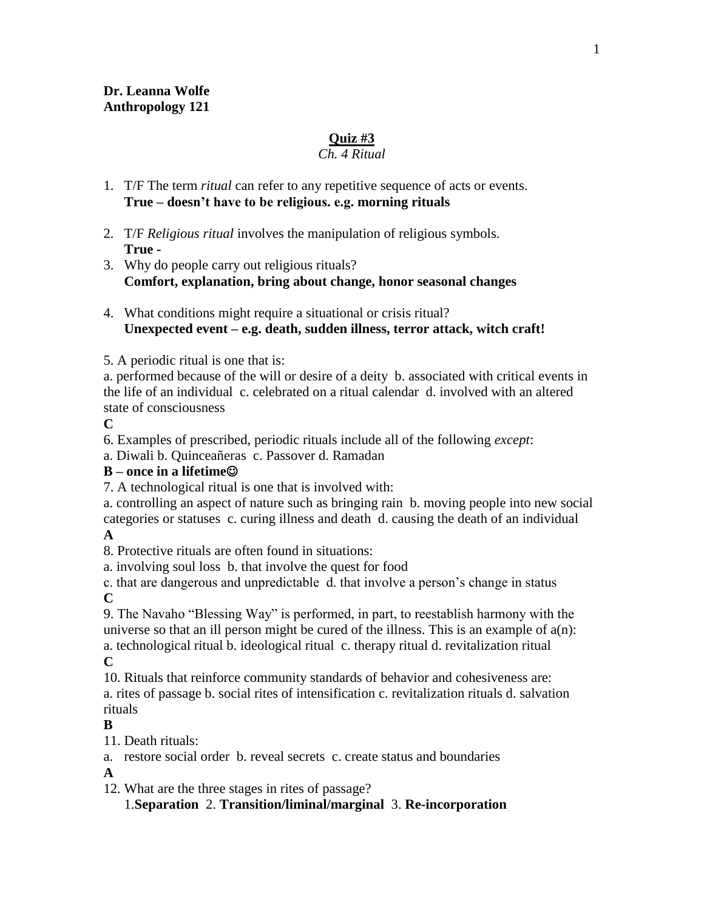### **Quiz #3**

### *Ch. 4 Ritual*

- 1. T/F The term *ritual* can refer to any repetitive sequence of acts or events. **True – doesn't have to be religious. e.g. morning rituals**
- 2. T/F *Religious ritual* involves the manipulation of religious symbols. **True -**
- 3. Why do people carry out religious rituals? **Comfort, explanation, bring about change, honor seasonal changes**
- 4. What conditions might require a situational or crisis ritual? **Unexpected event – e.g. death, sudden illness, terror attack, witch craft!**
- 5. A periodic ritual is one that is:

a. performed because of the will or desire of a deity b. associated with critical events in the life of an individual c. celebrated on a ritual calendar d. involved with an altered state of consciousness

**C**

6. Examples of prescribed, periodic rituals include all of the following *except*:

a. Diwali b. Quinceañeras c. Passover d. Ramadan

### **B – once in a lifetime**

7. A technological ritual is one that is involved with:

a. controlling an aspect of nature such as bringing rain b. moving people into new social categories or statuses c. curing illness and death d. causing the death of an individual

**A**

8. Protective rituals are often found in situations:

a. involving soul loss b. that involve the quest for food

c. that are dangerous and unpredictable d. that involve a person's change in status **C**

9. The Navaho "Blessing Way" is performed, in part, to reestablish harmony with the universe so that an ill person might be cured of the illness. This is an example of  $a(n)$ : a. technological ritual b. ideological ritual c. therapy ritual d. revitalization ritual **C**

10. Rituals that reinforce community standards of behavior and cohesiveness are: a. rites of passage b. social rites of intensification c. revitalization rituals d. salvation rituals

**B**

11. Death rituals:

a. restore social order b. reveal secrets c. create status and boundaries

**A**

12. What are the three stages in rites of passage?

1.**Separation** 2. **Transition/liminal/marginal** 3. **Re-incorporation**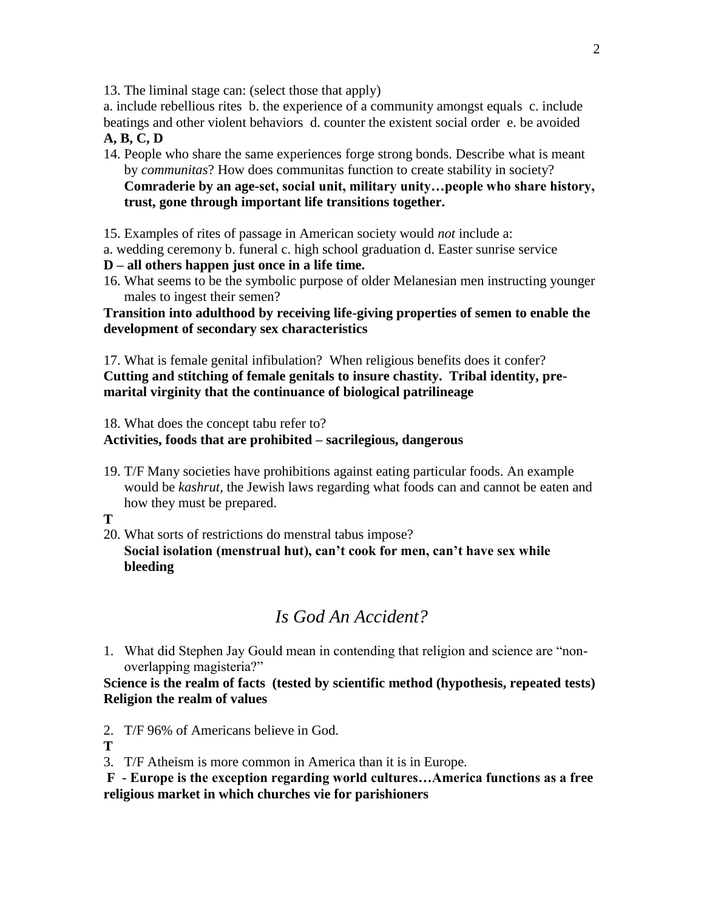13. The liminal stage can: (select those that apply)

a. include rebellious rites b. the experience of a community amongst equals c. include beatings and other violent behaviors d. counter the existent social order e. be avoided **A, B, C, D**

14. People who share the same experiences forge strong bonds. Describe what is meant by *communitas*? How does communitas function to create stability in society? **Comraderie by an age-set, social unit, military unity…people who share history, trust, gone through important life transitions together.**

15. Examples of rites of passage in American society would *not* include a:

a. wedding ceremony b. funeral c. high school graduation d. Easter sunrise service

**D – all others happen just once in a life time.**

16. What seems to be the symbolic purpose of older Melanesian men instructing younger males to ingest their semen?

**Transition into adulthood by receiving life-giving properties of semen to enable the development of secondary sex characteristics**

17. What is female genital infibulation? When religious benefits does it confer? **Cutting and stitching of female genitals to insure chastity. Tribal identity, premarital virginity that the continuance of biological patrilineage**

18. What does the concept tabu refer to?

### **Activities, foods that are prohibited – sacrilegious, dangerous**

19. T/F Many societies have prohibitions against eating particular foods. An example would be *kashrut,* the Jewish laws regarding what foods can and cannot be eaten and how they must be prepared.

#### **T**

20. What sorts of restrictions do menstral tabus impose? **Social isolation (menstrual hut), can't cook for men, can't have sex while bleeding**

# *Is God An Accident?*

1. What did Stephen Jay Gould mean in contending that religion and science are "nonoverlapping magisteria?"

**Science is the realm of facts (tested by scientific method (hypothesis, repeated tests) Religion the realm of values**

2. T/F 96% of Americans believe in God.

**T**

3. T/F Atheism is more common in America than it is in Europe.

**F - Europe is the exception regarding world cultures…America functions as a free religious market in which churches vie for parishioners**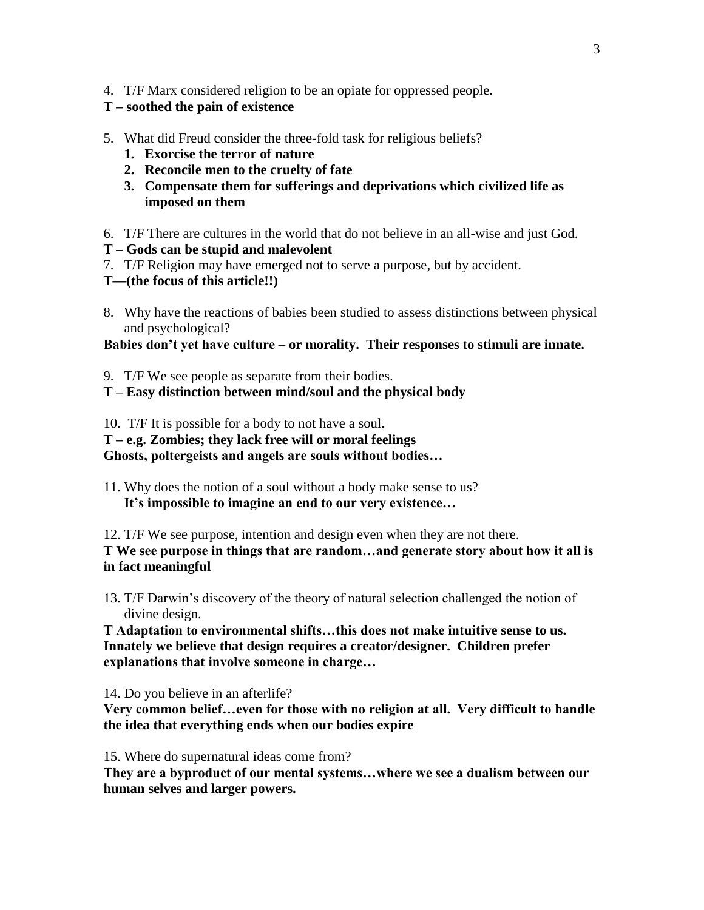4. T/F Marx considered religion to be an opiate for oppressed people.

### **T – soothed the pain of existence**

- 5. What did Freud consider the three-fold task for religious beliefs?
	- **1. Exorcise the terror of nature**
	- **2. Reconcile men to the cruelty of fate**
	- **3. Compensate them for sufferings and deprivations which civilized life as imposed on them**
- 6. T/F There are cultures in the world that do not believe in an all-wise and just God.
- **T – Gods can be stupid and malevolent**
- 7. T/F Religion may have emerged not to serve a purpose, but by accident.
- **T—(the focus of this article!!)**
- 8. Why have the reactions of babies been studied to assess distinctions between physical and psychological?

#### **Babies don't yet have culture – or morality. Their responses to stimuli are innate.**

- 9. T/F We see people as separate from their bodies.
- **T – Easy distinction between mind/soul and the physical body**

10. T/F It is possible for a body to not have a soul.

**T – e.g. Zombies; they lack free will or moral feelings** 

**Ghosts, poltergeists and angels are souls without bodies…**

11. Why does the notion of a soul without a body make sense to us? **It's impossible to imagine an end to our very existence…**

12. T/F We see purpose, intention and design even when they are not there.

**T We see purpose in things that are random…and generate story about how it all is in fact meaningful**

13. T/F Darwin's discovery of the theory of natural selection challenged the notion of divine design.

**T Adaptation to environmental shifts…this does not make intuitive sense to us. Innately we believe that design requires a creator/designer. Children prefer explanations that involve someone in charge…**

14. Do you believe in an afterlife?

**Very common belief…even for those with no religion at all. Very difficult to handle the idea that everything ends when our bodies expire**

15. Where do supernatural ideas come from?

**They are a byproduct of our mental systems…where we see a dualism between our human selves and larger powers.**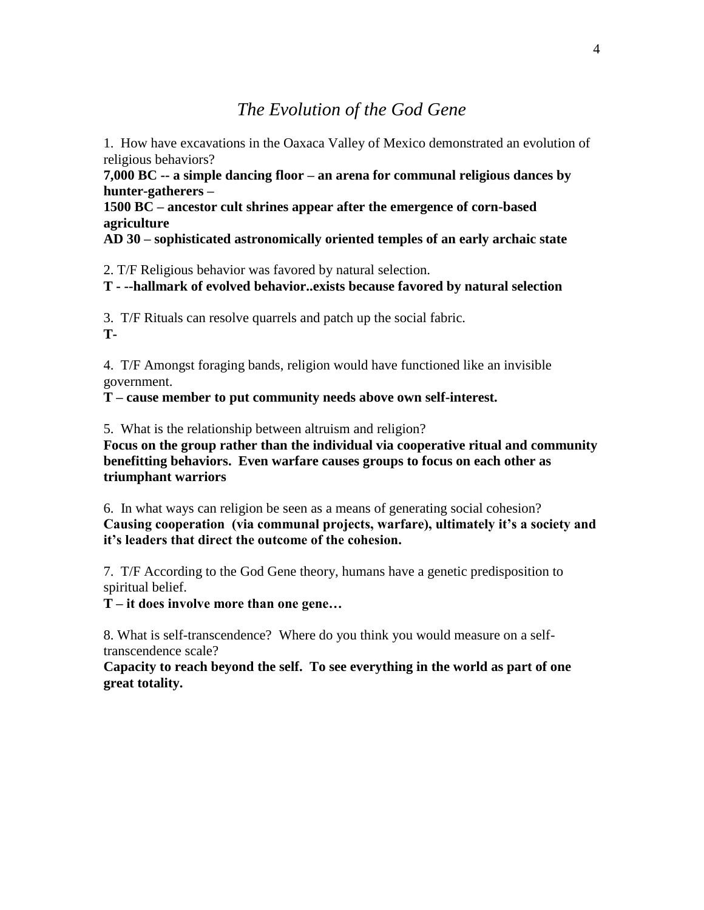## *The Evolution of the God Gene*

1. How have excavations in the Oaxaca Valley of Mexico demonstrated an evolution of religious behaviors?

**7,000 BC -- a simple dancing floor – an arena for communal religious dances by hunter-gatherers –**

**1500 BC – ancestor cult shrines appear after the emergence of corn-based agriculture**

**AD 30 – sophisticated astronomically oriented temples of an early archaic state**

2. T/F Religious behavior was favored by natural selection.

**T - --hallmark of evolved behavior..exists because favored by natural selection**

3. T/F Rituals can resolve quarrels and patch up the social fabric. **T-**

4. T/F Amongst foraging bands, religion would have functioned like an invisible government.

**T – cause member to put community needs above own self-interest.**

5. What is the relationship between altruism and religion?

**Focus on the group rather than the individual via cooperative ritual and community benefitting behaviors. Even warfare causes groups to focus on each other as triumphant warriors**

6. In what ways can religion be seen as a means of generating social cohesion? **Causing cooperation (via communal projects, warfare), ultimately it's a society and it's leaders that direct the outcome of the cohesion.**

7. T/F According to the God Gene theory, humans have a genetic predisposition to spiritual belief.

**T – it does involve more than one gene…**

8. What is self-transcendence? Where do you think you would measure on a selftranscendence scale?

**Capacity to reach beyond the self. To see everything in the world as part of one great totality.**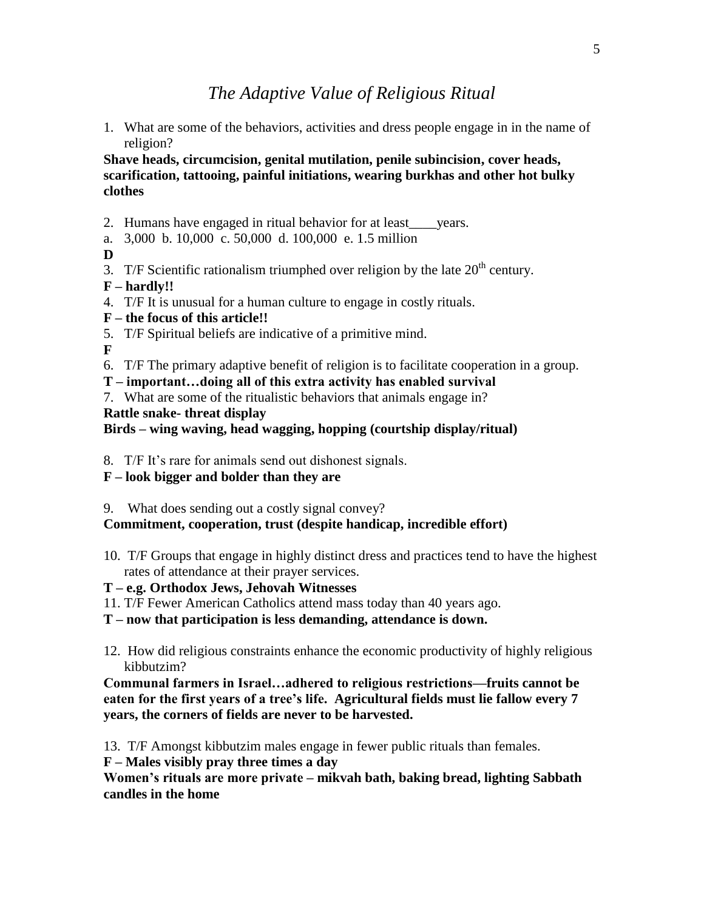## *The Adaptive Value of Religious Ritual*

1. What are some of the behaviors, activities and dress people engage in in the name of religion?

**Shave heads, circumcision, genital mutilation, penile subincision, cover heads, scarification, tattooing, painful initiations, wearing burkhas and other hot bulky clothes**

- 2. Humans have engaged in ritual behavior for at least\_\_\_\_years.
- a. 3,000 b. 10,000 c. 50,000 d. 100,000 e. 1.5 million
- **D**
- 3. T/F Scientific rationalism triumphed over religion by the late  $20<sup>th</sup>$  century.
- **F – hardly!!**
- 4. T/F It is unusual for a human culture to engage in costly rituals.
- **F – the focus of this article!!**
- 5. T/F Spiritual beliefs are indicative of a primitive mind.

**F**

- 6. T/F The primary adaptive benefit of religion is to facilitate cooperation in a group.
- **T – important…doing all of this extra activity has enabled survival**
- 7. What are some of the ritualistic behaviors that animals engage in?

#### **Rattle snake- threat display**

#### **Birds – wing waving, head wagging, hopping (courtship display/ritual)**

8. T/F It's rare for animals send out dishonest signals.

### **F – look bigger and bolder than they are**

9. What does sending out a costly signal convey?

### **Commitment, cooperation, trust (despite handicap, incredible effort)**

- 10. T/F Groups that engage in highly distinct dress and practices tend to have the highest rates of attendance at their prayer services.
- **T – e.g. Orthodox Jews, Jehovah Witnesses**
- 11. T/F Fewer American Catholics attend mass today than 40 years ago.
- **T – now that participation is less demanding, attendance is down.**
- 12. How did religious constraints enhance the economic productivity of highly religious kibbutzim?

**Communal farmers in Israel…adhered to religious restrictions—fruits cannot be eaten for the first years of a tree's life. Agricultural fields must lie fallow every 7 years, the corners of fields are never to be harvested.**

13. T/F Amongst kibbutzim males engage in fewer public rituals than females.

**F – Males visibly pray three times a day**

**Women's rituals are more private – mikvah bath, baking bread, lighting Sabbath candles in the home**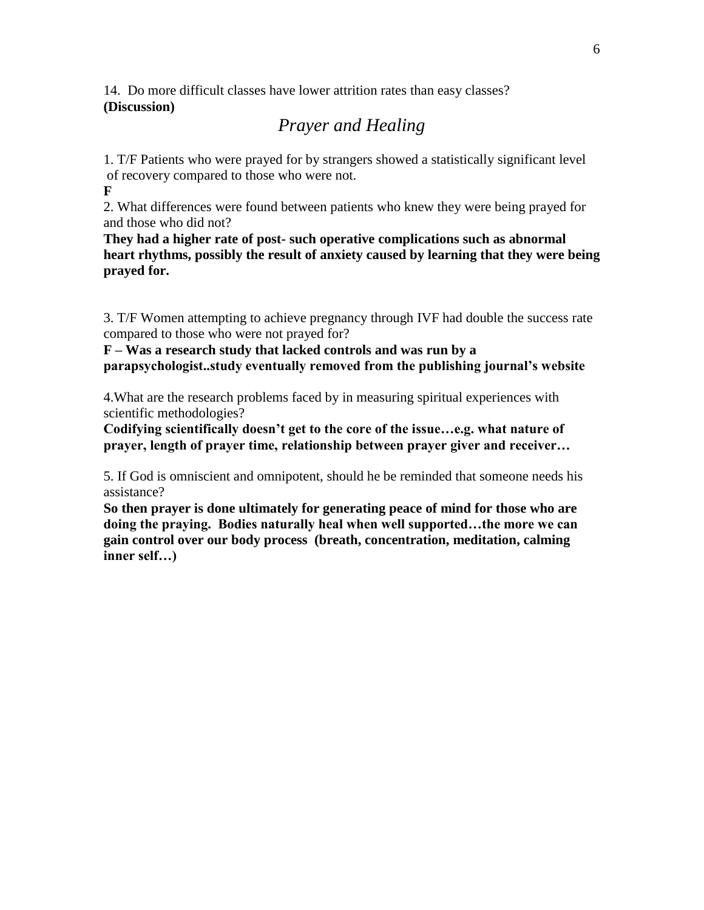14. Do more difficult classes have lower attrition rates than easy classes? **(Discussion)**

## *Prayer and Healing*

1. T/F Patients who were prayed for by strangers showed a statistically significant level of recovery compared to those who were not.

**F**

2. What differences were found between patients who knew they were being prayed for and those who did not?

**They had a higher rate of post- such operative complications such as abnormal heart rhythms, possibly the result of anxiety caused by learning that they were being prayed for.**

3. T/F Women attempting to achieve pregnancy through IVF had double the success rate compared to those who were not prayed for?

**F – Was a research study that lacked controls and was run by a parapsychologist..study eventually removed from the publishing journal's website**

4.What are the research problems faced by in measuring spiritual experiences with scientific methodologies?

**Codifying scientifically doesn't get to the core of the issue…e.g. what nature of prayer, length of prayer time, relationship between prayer giver and receiver…**

5. If God is omniscient and omnipotent, should he be reminded that someone needs his assistance?

**So then prayer is done ultimately for generating peace of mind for those who are doing the praying. Bodies naturally heal when well supported…the more we can gain control over our body process (breath, concentration, meditation, calming inner self…)**